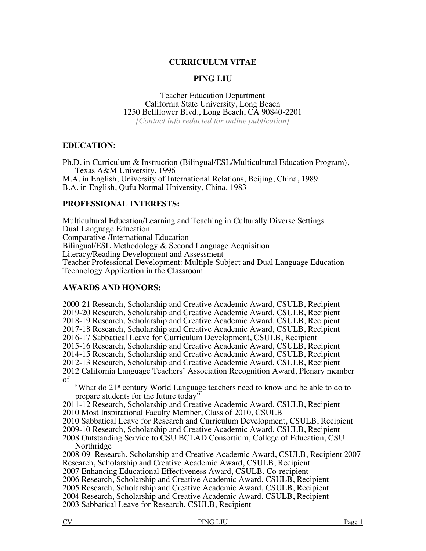## **CURRICULUM VITAE**

### **PING LIU**

Teacher Education Department California State University, Long Beach 1250 Bellflower Blvd., Long Beach, CA 90840-2201 *[Contact info redacted for online publication]*

### **EDUCATION:**

Ph.D. in Curriculum & Instruction (Bilingual/ESL/Multicultural Education Program), Texas A&M University, 1996 M.A. in English, University of International Relations, Beijing, China, 1989

B.A. in English, Qufu Normal University, China, 1983

## **PROFESSIONAL INTERESTS:**

Multicultural Education/Learning and Teaching in Culturally Diverse Settings Dual Language Education Comparative /International Education Bilingual/ESL Methodology & Second Language Acquisition Literacy/Reading Development and Assessment Teacher Professional Development: Multiple Subject and Dual Language Education Technology Application in the Classroom

### **AWARDS AND HONORS:**

2000-21 Research, Scholarship and Creative Academic Award, CSULB, Recipient 2019-20 Research, Scholarship and Creative Academic Award, CSULB, Recipient 2018-19 Research, Scholarship and Creative Academic Award, CSULB, Recipient 2017-18 Research, Scholarship and Creative Academic Award, CSULB, Recipient 2016-17 Sabbatical Leave for Curriculum Development, CSULB, Recipient 2015-16 Research, Scholarship and Creative Academic Award, CSULB, Recipient 2014-15 Research, Scholarship and Creative Academic Award, CSULB, Recipient 2012-13 Research, Scholarship and Creative Academic Award, CSULB, Recipient 2012 California Language Teachers' Association Recognition Award, Plenary member of "What do 21<sup>st</sup> century World Language teachers need to know and be able to do to prepare students for the future today" 2011-12 Research, Scholarship and Creative Academic Award, CSULB, Recipient 2010 Most Inspirational Faculty Member, Class of 2010, CSULB 2010 Sabbatical Leave for Research and Curriculum Development, CSULB, Recipient 2009-10 Research, Scholarship and Creative Academic Award, CSULB, Recipient 2008 Outstanding Service to CSU BCLAD Consortium, College of Education, CSU Northridge 2008-09 Research, Scholarship and Creative Academic Award, CSULB, Recipient 2007 Research, Scholarship and Creative Academic Award, CSULB, Recipient 2007 Enhancing Educational Effectiveness Award, CSULB, Co-recipient 2006 Research, Scholarship and Creative Academic Award, CSULB, Recipient 2005 Research, Scholarship and Creative Academic Award, CSULB, Recipient 2004 Research, Scholarship and Creative Academic Award, CSULB, Recipient

2003 Sabbatical Leave for Research, CSULB, Recipient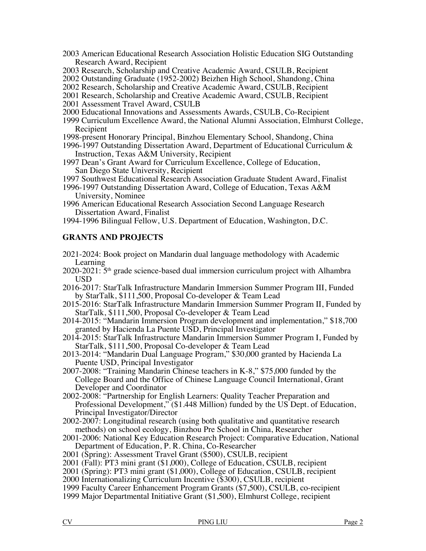- 2003 American Educational Research Association Holistic Education SIG Outstanding Research Award, Recipient
- 2003 Research, Scholarship and Creative Academic Award, CSULB, Recipient
- 2002 Outstanding Graduate (1952-2002) Beizhen High School, Shandong, China
- 2002 Research, Scholarship and Creative Academic Award, CSULB, Recipient
- 2001 Research, Scholarship and Creative Academic Award, CSULB, Recipient
- 2001 Assessment Travel Award, CSULB
- 2000 Educational Innovations and Assessments Awards, CSULB, Co-Recipient
- 1999 Curriculum Excellence Award, the National Alumni Association, Elmhurst College, Recipient
- 1998-present Honorary Principal, Binzhou Elementary School, Shandong, China
- 1996-1997 Outstanding Dissertation Award, Department of Educational Curriculum & Instruction, Texas A&M University, Recipient
- 1997 Dean's Grant Award for Curriculum Excellence, College of Education, San Diego State University, Recipient
- 1997 Southwest Educational Research Association Graduate Student Award, Finalist
- 1996-1997 Outstanding Dissertation Award, College of Education, Texas A&M University, Nominee
- 1996 American Educational Research Association Second Language Research Dissertation Award, Finalist
- 1994-1996 Bilingual Fellow, U.S. Department of Education, Washington, D.C.

# **GRANTS AND PROJECTS**

- 2021-2024: Book project on Mandarin dual language methodology with Academic Learning
- $2020-2021:5$ <sup>th</sup> grade science-based dual immersion curriculum project with Alhambra USD
- 2016-2017: StarTalk Infrastructure Mandarin Immersion Summer Program III, Funded by StarTalk, \$111,500, Proposal Co-developer & Team Lead
- 2015-2016: StarTalk Infrastructure Mandarin Immersion Summer Program II, Funded by StarTalk, \$111,500, Proposal Co-developer & Team Lead
- 2014-2015: "Mandarin Immersion Program development and implementation," \$18,700 granted by Hacienda La Puente USD, Principal Investigator
- 2014-2015: StarTalk Infrastructure Mandarin Immersion Summer Program I, Funded by StarTalk, \$111,500, Proposal Co-developer & Team Lead
- 2013-2014: "Mandarin Dual Language Program," \$30,000 granted by Hacienda La Puente USD, Principal Investigator
- 2007-2008: "Training Mandarin Chinese teachers in K-8," \$75,000 funded by the College Board and the Office of Chinese Language Council International, Grant Developer and Coordinator
- 2002-2008: "Partnership for English Learners: Quality Teacher Preparation and Professional Development," (\$1.448 Million) funded by the US Dept. of Education, Principal Investigator/Director
- 2002-2007: Longitudinal research (using both qualitative and quantitative research methods) on school ecology, Binzhou Pre School in China, Researcher
- 2001-2006: National Key Education Research Project: Comparative Education, National Department of Education, P. R. China, Co-Researcher
- 2001 (Spring): Assessment Travel Grant (\$500), CSULB, recipient
- 2001 (Fall): PT3 mini grant (\$1,000), College of Education, CSULB, recipient
- 2001 (Spring): PT3 mini grant (\$1,000), College of Education, CSULB, recipient
- 2000 Internationalizing Curriculum Incentive (\$300), CSULB, recipient
- 1999 Faculty Career Enhancement Program Grants (\$7,500), CSULB, co-recipient
- 1999 Major Departmental Initiative Grant (\$1,500), Elmhurst College, recipient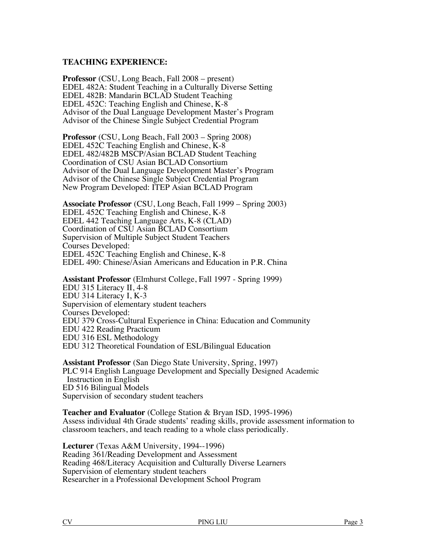## **TEACHING EXPERIENCE:**

**Professor** (CSU, Long Beach, Fall 2008 – present) EDEL 482A: Student Teaching in a Culturally Diverse Setting EDEL 482B: Mandarin BCLAD Student Teaching EDEL 452C: Teaching English and Chinese, K-8 Advisor of the Dual Language Development Master's Program Advisor of the Chinese Single Subject Credential Program

**Professor** (CSU, Long Beach, Fall 2003 – Spring 2008) EDEL 452C Teaching English and Chinese, K-8 EDEL 482/482B MSCP/Asian BCLAD Student Teaching Coordination of CSU Asian BCLAD Consortium Advisor of the Dual Language Development Master's Program Advisor of the Chinese Single Subject Credential Program New Program Developed: ITEP Asian BCLAD Program

**Associate Professor** (CSU, Long Beach, Fall 1999 – Spring 2003) EDEL 452C Teaching English and Chinese, K-8 EDEL 442 Teaching Language Arts, K-8 (CLAD) Coordination of CSU Asian BCLAD Consortium Supervision of Multiple Subject Student Teachers Courses Developed: EDEL 452C Teaching English and Chinese, K-8 EDEL 490: Chinese/Asian Americans and Education in P.R. China

**Assistant Professor** (Elmhurst College, Fall 1997 - Spring 1999) EDU 315 Literacy II, 4-8 EDU 314 Literacy I, K-3 Supervision of elementary student teachers Courses Developed: EDU 379 Cross-Cultural Experience in China: Education and Community EDU 422 Reading Practicum EDU 316 ESL Methodology EDU 312 Theoretical Foundation of ESL/Bilingual Education

**Assistant Professor** (San Diego State University, Spring, 1997) PLC 914 English Language Development and Specially Designed Academic Instruction in English ED 516 Bilingual Models Supervision of secondary student teachers

**Teacher and Evaluator** (College Station & Bryan ISD, 1995-1996) Assess individual 4th Grade students' reading skills, provide assessment information to classroom teachers, and teach reading to a whole class periodically.

**Lecturer** (Texas A&M University, 1994--1996) Reading 361/Reading Development and Assessment Reading 468/Literacy Acquisition and Culturally Diverse Learners Supervision of elementary student teachers Researcher in a Professional Development School Program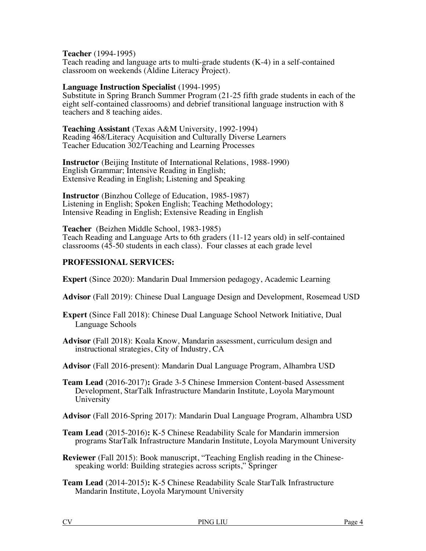**Teacher** (1994-1995)

Teach reading and language arts to multi-grade students (K-4) in a self-contained classroom on weekends (Aldine Literacy Project).

### **Language Instruction Specialist** (1994-1995)

Substitute in Spring Branch Summer Program (21-25 fifth grade students in each of the eight self-contained classrooms) and debrief transitional language instruction with 8 teachers and 8 teaching aides.

**Teaching Assistant** (Texas A&M University, 1992-1994) Reading 468/Literacy Acquisition and Culturally Diverse Learners Teacher Education 302/Teaching and Learning Processes

**Instructor** (Beijing Institute of International Relations, 1988-1990) English Grammar; Intensive Reading in English; Extensive Reading in English; Listening and Speaking

**Instructor** (Binzhou College of Education, 1985-1987) Listening in English; Spoken English; Teaching Methodology; Intensive Reading in English; Extensive Reading in English

**Teacher** (Beizhen Middle School, 1983-1985) Teach Reading and Language Arts to 6th graders (11-12 years old) in self-contained classrooms (45-50 students in each class). Four classes at each grade level

# **PROFESSIONAL SERVICES:**

**Expert** (Since 2020): Mandarin Dual Immersion pedagogy, Academic Learning

- **Advisor** (Fall 2019): Chinese Dual Language Design and Development, Rosemead USD
- **Expert** (Since Fall 2018): Chinese Dual Language School Network Initiative, Dual Language Schools
- **Advisor** (Fall 2018): Koala Know, Mandarin assessment, curriculum design and instructional strategies, City of Industry, CA
- **Advisor** (Fall 2016-present): Mandarin Dual Language Program, Alhambra USD

**Team Lead** (2016-2017)**:** Grade 3-5 Chinese Immersion Content-based Assessment Development, StarTalk Infrastructure Mandarin Institute, Loyola Marymount University

**Advisor** (Fall 2016-Spring 2017): Mandarin Dual Language Program, Alhambra USD

**Team Lead** (2015-2016)**:** K-5 Chinese Readability Scale for Mandarin immersion programs StarTalk Infrastructure Mandarin Institute, Loyola Marymount University

**Reviewer** (Fall 2015): Book manuscript, "Teaching English reading in the Chinesespeaking world: Building strategies across scripts," Springer

**Team Lead** (2014-2015)**:** K-5 Chinese Readability Scale StarTalk Infrastructure Mandarin Institute, Loyola Marymount University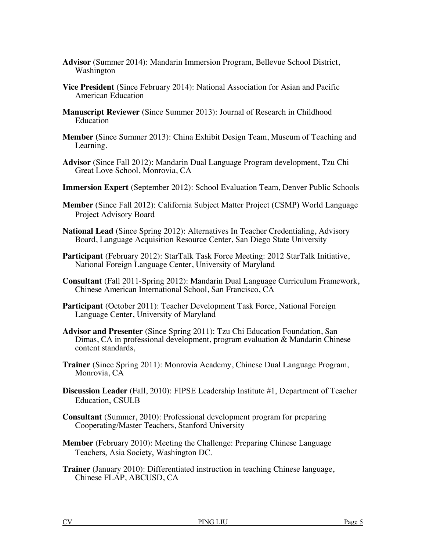- **Advisor** (Summer 2014): Mandarin Immersion Program, Bellevue School District, Washington
- **Vice President** (Since February 2014): National Association for Asian and Pacific American Education
- **Manuscript Reviewer (**Since Summer 2013): Journal of Research in Childhood Education
- **Member (**Since Summer 2013): China Exhibit Design Team, Museum of Teaching and Learning.
- **Advisor** (Since Fall 2012): Mandarin Dual Language Program development, Tzu Chi Great Love School, Monrovia, CA
- **Immersion Expert** (September 2012): School Evaluation Team, Denver Public Schools
- **Member** (Since Fall 2012): California Subject Matter Project (CSMP) World Language Project Advisory Board
- **National Lead** (Since Spring 2012): Alternatives In Teacher Credentialing, Advisory Board, Language Acquisition Resource Center, San Diego State University
- Participant (February 2012): StarTalk Task Force Meeting: 2012 StarTalk Initiative, National Foreign Language Center, University of Maryland
- **Consultant** (Fall 2011-Spring 2012): Mandarin Dual Language Curriculum Framework, Chinese American International School, San Francisco, CA
- **Participant** (October 2011): Teacher Development Task Force, National Foreign Language Center, University of Maryland
- **Advisor and Presenter** (Since Spring 2011): Tzu Chi Education Foundation, San Dimas, CA in professional development, program evaluation & Mandarin Chinese content standards,
- **Trainer** (Since Spring 2011): Monrovia Academy, Chinese Dual Language Program, Monrovia, CA
- **Discussion Leader** (Fall, 2010): FIPSE Leadership Institute #1, Department of Teacher Education, CSULB
- **Consultant** (Summer, 2010): Professional development program for preparing Cooperating/Master Teachers, Stanford University
- **Member** (February 2010): Meeting the Challenge: Preparing Chinese Language Teachers, Asia Society, Washington DC.
- **Trainer** (January 2010): Differentiated instruction in teaching Chinese language, Chinese FLAP, ABCUSD, CA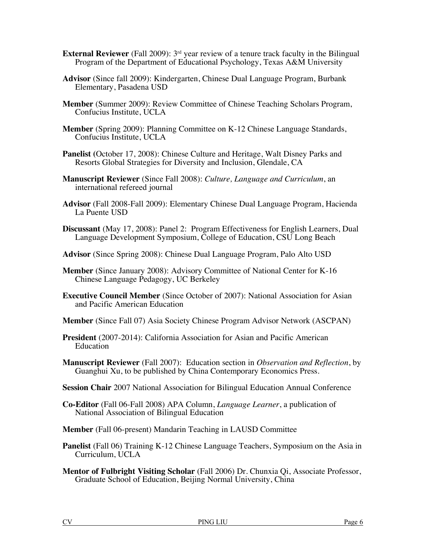- **External Reviewer** (Fall 2009): 3<sup>rd</sup> year review of a tenure track faculty in the Bilingual Program of the Department of Educational Psychology, Texas A&M University
- **Advisor** (Since fall 2009): Kindergarten, Chinese Dual Language Program, Burbank Elementary, Pasadena USD
- **Member** (Summer 2009): Review Committee of Chinese Teaching Scholars Program, Confucius Institute, UCLA
- **Member** (Spring 2009): Planning Committee on K-12 Chinese Language Standards, Confucius Institute, UCLA
- **Panelist (**October 17, 2008): Chinese Culture and Heritage, Walt Disney Parks and Resorts Global Strategies for Diversity and Inclusion, Glendale, CA
- **Manuscript Reviewer** (Since Fall 2008): *Culture, Language and Curriculum*, an international refereed journal
- **Advisor** (Fall 2008-Fall 2009): Elementary Chinese Dual Language Program, Hacienda La Puente USD
- **Discussant** (May 17, 2008): Panel 2: Program Effectiveness for English Learners, Dual Language Development Symposium, College of Education, CSU Long Beach
- **Advisor** (Since Spring 2008): Chinese Dual Language Program, Palo Alto USD
- **Member** (Since January 2008): Advisory Committee of National Center for K-16 Chinese Language Pedagogy, UC Berkeley
- **Executive Council Member** (Since October of 2007): National Association for Asian and Pacific American Education
- **Member** (Since Fall 07) Asia Society Chinese Program Advisor Network (ASCPAN)
- **President** (2007-2014): California Association for Asian and Pacific American Education
- **Manuscript Reviewer** (Fall 2007): Education section in *Observation and Reflection*, by Guanghui Xu, to be published by China Contemporary Economics Press.
- **Session Chair** 2007 National Association for Bilingual Education Annual Conference
- **Co-Editor** (Fall 06-Fall 2008) APA Column, *Language Learner*, a publication of National Association of Bilingual Education
- **Member** (Fall 06-present) Mandarin Teaching in LAUSD Committee
- **Panelist** (Fall 06) Training K-12 Chinese Language Teachers, Symposium on the Asia in Curriculum, UCLA
- **Mentor of Fulbright Visiting Scholar** (Fall 2006) Dr. Chunxia Qi, Associate Professor, Graduate School of Education, Beijing Normal University, China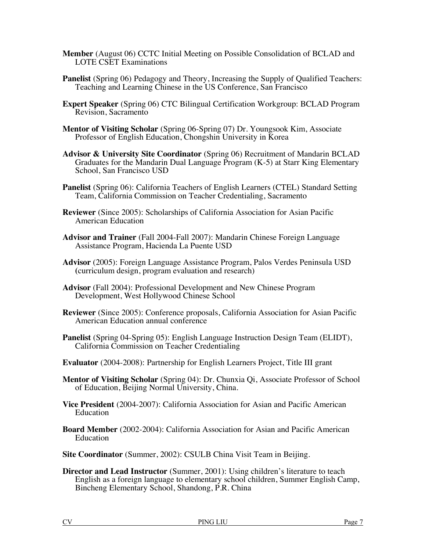- **Member** (August 06) CCTC Initial Meeting on Possible Consolidation of BCLAD and LOTE CSET Examinations
- **Panelist** (Spring 06) Pedagogy and Theory, Increasing the Supply of Qualified Teachers: Teaching and Learning Chinese in the US Conference, San Francisco
- **Expert Speaker** (Spring 06) CTC Bilingual Certification Workgroup: BCLAD Program Revision, Sacramento
- **Mentor of Visiting Scholar** (Spring 06-Spring 07) Dr. Youngsook Kim, Associate Professor of English Education, Chongshin University in Korea
- **Advisor & University Site Coordinator** (Spring 06) Recruitment of Mandarin BCLAD Graduates for the Mandarin Dual Language Program (K-5) at Starr King Elementary School, San Francisco USD
- **Panelist** (Spring 06): California Teachers of English Learners (CTEL) Standard Setting Team, California Commission on Teacher Credentialing, Sacramento
- **Reviewer** (Since 2005): Scholarships of California Association for Asian Pacific American Education
- **Advisor and Trainer** (Fall 2004-Fall 2007): Mandarin Chinese Foreign Language Assistance Program, Hacienda La Puente USD
- **Advisor** (2005): Foreign Language Assistance Program, Palos Verdes Peninsula USD **(**curriculum design, program evaluation and research)
- **Advisor** (Fall 2004): Professional Development and New Chinese Program Development, West Hollywood Chinese School
- **Reviewer** (Since 2005): Conference proposals, California Association for Asian Pacific American Education annual conference
- **Panelist** (Spring 04-Spring 05): English Language Instruction Design Team (ELIDT), California Commission on Teacher Credentialing
- **Evaluator** (2004-2008): Partnership for English Learners Project, Title III grant
- **Mentor of Visiting Scholar** (Spring 04): Dr. Chunxia Qi, Associate Professor of School of Education, Beijing Normal University, China.
- **Vice President** (2004-2007): California Association for Asian and Pacific American Education
- **Board Member** (2002-2004): California Association for Asian and Pacific American Education
- **Site Coordinator** (Summer, 2002): CSULB China Visit Team in Beijing.
- **Director and Lead Instructor** (Summer, 2001): Using children's literature to teach English as a foreign language to elementary school children, Summer English Camp, Bincheng Elementary School, Shandong, P.R. China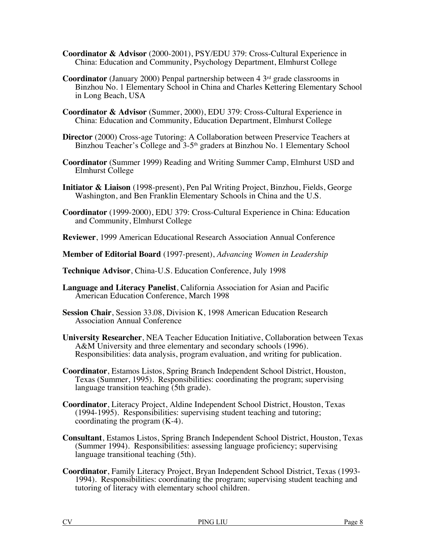- **Coordinator & Advisor** (2000-2001), PSY/EDU 379: Cross-Cultural Experience in China: Education and Community, Psychology Department, Elmhurst College
- **Coordinator** (January 2000) Penpal partnership between  $4 \times 3^{\text{rd}}$  grade classrooms in Binzhou No. 1 Elementary School in China and Charles Kettering Elementary School in Long Beach, USA
- **Coordinator & Advisor** (Summer, 2000), EDU 379: Cross-Cultural Experience in China: Education and Community, Education Department, Elmhurst College
- **Director** (2000) Cross-age Tutoring: A Collaboration between Preservice Teachers at Binzhou Teacher's College and 3-5<sup>th</sup> graders at Binzhou No. 1 Elementary School
- **Coordinator** (Summer 1999) Reading and Writing Summer Camp, Elmhurst USD and Elmhurst College
- **Initiator & Liaison** (1998-present), Pen Pal Writing Project, Binzhou, Fields, George Washington, and Ben Franklin Elementary Schools in China and the U.S.
- **Coordinator** (1999-2000), EDU 379: Cross-Cultural Experience in China: Education and Community, Elmhurst College
- **Reviewer**, 1999 American Educational Research Association Annual Conference
- **Member of Editorial Board** (1997-present), *Advancing Women in Leadership*
- **Technique Advisor**, China-U.S. Education Conference, July 1998
- **Language and Literacy Panelist**, California Association for Asian and Pacific American Education Conference, March 1998
- **Session Chair**, Session 33.08, Division K, 1998 American Education Research Association Annual Conference
- **University Researcher**, NEA Teacher Education Initiative, Collaboration between Texas A&M University and three elementary and secondary schools (1996). Responsibilities: data analysis, program evaluation, and writing for publication.
- **Coordinator**, Estamos Listos, Spring Branch Independent School District, Houston, Texas (Summer, 1995). Responsibilities: coordinating the program; supervising language transition teaching (5th grade).
- **Coordinator**, Literacy Project, Aldine Independent School District, Houston, Texas (1994-1995). Responsibilities: supervising student teaching and tutoring; coordinating the program (K-4).
- **Consultant**, Estamos Listos, Spring Branch Independent School District, Houston, Texas (Summer 1994). Responsibilities: assessing language proficiency; supervising language transitional teaching (5th).
- **Coordinator**, Family Literacy Project, Bryan Independent School District, Texas (1993-1994). Responsibilities: coordinating the program; supervising student teaching and tutoring of literacy with elementary school children.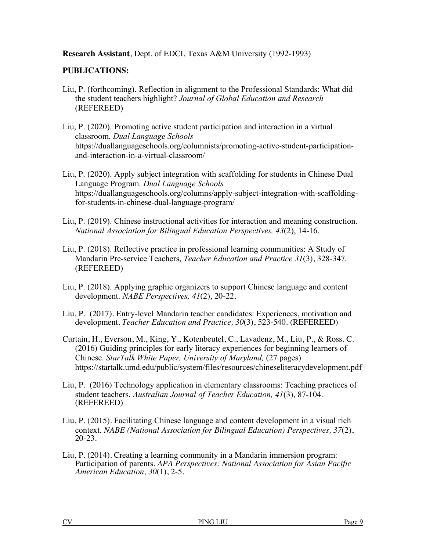**Research Assistant**, Dept. of EDCI, Texas A&M University (1992-1993)

# **PUBLICATIONS:**

- Liu, P. (forthcoming). Reflection in alignment to the Professional Standards: What did the student teachers highlight? *Journal of Global Education and Research* (REFEREED)
- Liu, P. (2020). Promoting active student participation and interaction in a virtual classroom. *Dual Language Schools*  https://duallanguageschools.org/columnists/promoting-active-student-participationand-interaction-in-a-virtual-classroom/
- Liu, P. (2020). Apply subject integration with scaffolding for students in Chinese Dual Language Program. *Dual Language Schools* https://duallanguageschools.org/columns/apply-subject-integration-with-scaffoldingfor-students-in-chinese-dual-language-program/
- Liu, P. (2019). Chinese instructional activities for interaction and meaning construction. *National Association for Bilingual Education Perspectives, 43*(2), 14-16.
- Liu, P. (2018). Reflective practice in professional learning communities: A Study of Mandarin Pre-service Teachers, *Teacher Education and Practice 31*(3), 328-347*.*  (REFEREED)
- Liu, P. (2018). Applying graphic organizers to support Chinese language and content development. *NABE Perspectives, 41*(2), 20-22.
- Liu, P. (2017). Entry-level Mandarin teacher candidates: Experiences, motivation and development. *Teacher Education and Practice, 30*(3), 523-540*.* (REFEREED)
- Curtain, H., Everson, M., King, Y., Kotenbeutel, C., Lavadenz, M., Liu, P., & Ross. C. (2016) Guiding principles for early literacy experiences for beginning learners of Chinese. *StarTalk White Paper, University of Maryland,* (27 pages) https://startalk.umd.edu/public/system/files/resources/chineseliteracydevelopment.pdf
- Liu, P. (2016) Technology application in elementary classrooms: Teaching practices of student teachers. *Australian Journal of Teacher Education, 41*(3), 87-104. (REFEREED)
- Liu, P. (2015). Facilitating Chinese language and content development in a visual rich context. *NABE (National Association for Bilingual Education) Perspectives, 37*(2), 20-23.
- Liu, P. (2014). Creating a learning community in a Mandarin immersion program: Participation of parents. *APA Perspectives: National Association for Asian Pacific American Education, 30*(1), 2-5*.*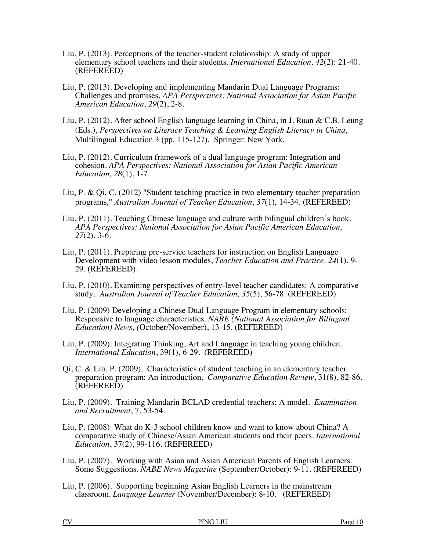- Liu, P. (2013). Perceptions of the teacher-student relationship: A study of upper elementary school teachers and their students. *International Education, 42*(2): 21-40*.* (REFEREED)
- Liu, P. (2013). Developing and implementing Mandarin Dual Language Programs: Challenges and promises. *APA Perspectives: National Association for Asian Pacific American Education, 29*(2), 2-8.
- Liu, P. (2012). After school English language learning in China, in J. Ruan & C.B. Leung (Eds.), *Perspectives on Literacy Teaching & Learning English Literacy in China*, Multilingual Education 3 (pp. 115-127). Springer: New York.
- Liu, P. (2012). Curriculum framework of a dual language program: Integration and cohesion. *APA Perspectives: National Association for Asian Pacific American Education, 28*(1), 1-7.
- Liu, P. & Qi, C. (2012) "Student teaching practice in two elementary teacher preparation programs," *Australian Journal of Teacher Education*, *37*(1), 14-34. (REFEREED)
- Liu, P. (2011). Teaching Chinese language and culture with bilingual children's book. *APA Perspectives: National Association for Asian Pacific American Education, 27*(2), 3-6.
- Liu, P. (2011). Preparing pre-service teachers for instruction on English Language Development with video lesson modules, *Teacher Education and Practice, 24*(1), 9- 29. (REFEREED).
- Liu, P. (2010). Examining perspectives of entry-level teacher candidates: A comparative study. *Australian Journal of Teacher Education, 35*(5), 56-78. (REFEREED)
- Liu, P. (2009) Developing a Chinese Dual Language Program in elementary schools: Responsive to language characteristics. *NABE (National Association for Bilingual Education) News, (*October/November), 13-15. (REFEREED)
- Liu, P. (2009). Integrating Thinking, Art and Language in teaching young children. *International Education*, 39(1), 6-29. (REFEREED)
- Qi, C. & Liu, P. (2009). Characteristics of student teaching in an elementary teacher preparation program: An introduction. *Comparative Education Review*, 31(8), 82-86. (REFEREED)
- Liu, P. (2009). Training Mandarin BCLAD credential teachers: A model. *Examination and Recruitment*, 7, 53-54.
- Liu, P. (2008) What do K-3 school children know and want to know about China? A comparative study of Chinese/Asian American students and their peers. *International Education*, 37(2), 99-116. (REFEREED)
- Liu, P. (2007). Working with Asian and Asian American Parents of English Learners: Some Suggestions. *NABE News Magazine* (September/October): 9-11. (REFEREED)
- Liu, P. (2006). Supporting beginning Asian English Learners in the mainstream classroom. *Language Learner* (November/December): 8-10. (REFEREED)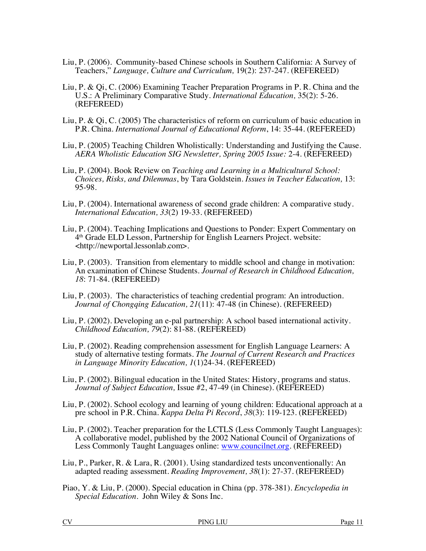- Liu, P. (2006). Community-based Chinese schools in Southern California: A Survey of Teachers," *Language, Culture and Curriculum,* 19(2): 237-247. (REFEREED)
- Liu, P. & Qi, C. (2006) Examining Teacher Preparation Programs in P. R. China and the U.S.: A Preliminary Comparative Study. *International Education,* 35(2): 5-26. (REFEREED)
- Liu, P. & Qi, C. (2005) The characteristics of reform on curriculum of basic education in P.R. China. *International Journal of Educational Reform*, 14: 35-44. (REFEREED)
- Liu, P. (2005) Teaching Children Wholistically: Understanding and Justifying the Cause. *AERA Wholistic Education SIG Newsletter, Spring 2005 Issue:* 2-4. (REFEREED)
- Liu, P. (2004). Book Review on *Teaching and Learning in a Multicultural School: Choices, Risks, and Dilemmas*, by Tara Goldstein. *Issues in Teacher Education,* 13: 95-98.
- Liu, P. (2004). International awareness of second grade children: A comparative study. *International Education, 33*(2) 19-33. (REFEREED)
- Liu, P. (2004). Teaching Implications and Questions to Ponder: Expert Commentary on 4th Grade ELD Lesson, Partnership for English Learners Project. website: <http://newportal.lessonlab.com>.
- Liu, P. (2003). Transition from elementary to middle school and change in motivation: An examination of Chinese Students. *Journal of Research in Childhood Education, 18*: 71-84. (REFEREED)
- Liu, P. (2003). The characteristics of teaching credential program: An introduction. *Journal of Chongqing Education, 21*(11): 47-48 (in Chinese). (REFEREED)
- Liu, P. (2002). Developing an e-pal partnership: A school based international activity. *Childhood Education, 79*(2): 81-88. (REFEREED)
- Liu, P. (2002). Reading comprehension assessment for English Language Learners: A study of alternative testing formats. *The Journal of Current Research and Practices in Language Minority Education, 1*(1)24-34. (REFEREED)
- Liu, P. (2002). Bilingual education in the United States: History, programs and status. *Journal of Subject Education,* Issue #2, 47-49 (in Chinese). (REFEREED)
- Liu, P. (2002). School ecology and learning of young children: Educational approach at a pre school in P.R. China. *Kappa Delta Pi Record*, *38*(3): 119-123. (REFEREED)
- Liu, P. (2002). Teacher preparation for the LCTLS (Less Commonly Taught Languages): A collaborative model, published by the 2002 National Council of Organizations of Less Commonly Taught Languages online: www.councilnet.org. (REFEREED)
- Liu, P., Parker, R. & Lara, R. (2001). Using standardized tests unconventionally: An adapted reading assessment. *Reading Improvement, 38*(1): 27-37. (REFEREED)
- Piao, Y. & Liu, P. (2000). Special education in China (pp. 378-381). *Encyclopedia in Special Education*. John Wiley & Sons Inc.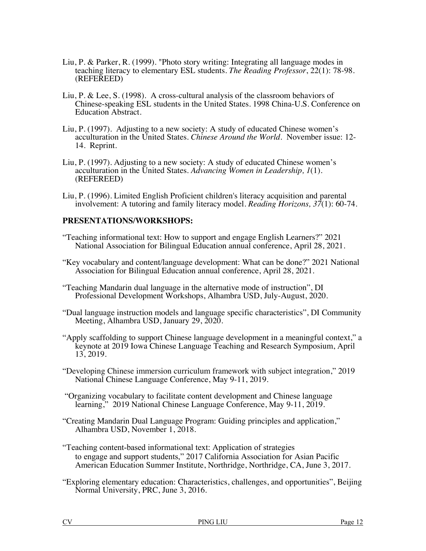- Liu, P. & Parker, R. (1999). "Photo story writing: Integrating all language modes in teaching literacy to elementary ESL students. *The Reading Professor*, 22(1): 78-98. (REFEREED)
- Liu, P. & Lee, S. (1998). A cross-cultural analysis of the classroom behaviors of Chinese-speaking ESL students in the United States. 1998 China-U.S. Conference on Education Abstract.
- Liu, P. (1997). Adjusting to a new society: A study of educated Chinese women's acculturation in the United States. *Chinese Around the World.* November issue: 12- 14. Reprint.
- Liu, P. (1997). Adjusting to a new society: A study of educated Chinese women's acculturation in the United States. *Advancing Women in Leadership, 1*(1). (REFEREED)
- Liu, P. (1996). Limited English Proficient children's literacy acquisition and parental involvement: A tutoring and family literacy model. *Reading Horizons, 37*(1): 60-74.

# **PRESENTATIONS/WORKSHOPS:**

- "Teaching informational text: How to support and engage English Learners?" 2021 National Association for Bilingual Education annual conference, April 28, 2021.
- "Key vocabulary and content/language development: What can be done?" 2021 National Association for Bilingual Education annual conference, April 28, 2021.
- "Teaching Mandarin dual language in the alternative mode of instruction", DI Professional Development Workshops, Alhambra USD, July-August, 2020.
- "Dual language instruction models and language specific characteristics", DI Community Meeting, Alhambra USD, January 29, 2020.
- "Apply scaffolding to support Chinese language development in a meaningful context," a keynote at 2019 Iowa Chinese Language Teaching and Research Symposium, April 13, 2019.
- "Developing Chinese immersion curriculum framework with subject integration," 2019 National Chinese Language Conference, May 9-11, 2019.
- "Organizing vocabulary to facilitate content development and Chinese language learning," 2019 National Chinese Language Conference, May 9-11, 2019.
- "Creating Mandarin Dual Language Program: Guiding principles and application," Alhambra USD, November 1, 2018.
- "Teaching content-based informational text: Application of strategies to engage and support students," 2017 California Association for Asian Pacific American Education Summer Institute, Northridge, Northridge, CA, June 3, 2017.
- "Exploring elementary education: Characteristics, challenges, and opportunities", Beijing Normal University, PRC, June 3, 2016.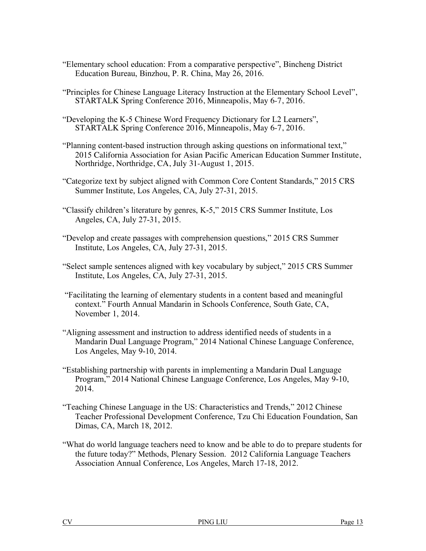- "Elementary school education: From a comparative perspective", Bincheng District Education Bureau, Binzhou, P. R. China, May 26, 2016.
- "Principles for Chinese Language Literacy Instruction at the Elementary School Level", STARTALK Spring Conference 2016, Minneapolis, May 6-7, 2016.
- "Developing the K-5 Chinese Word Frequency Dictionary for L2 Learners", STARTALK Spring Conference 2016, Minneapolis, May 6-7, 2016.
- "Planning content-based instruction through asking questions on informational text," 2015 California Association for Asian Pacific American Education Summer Institute, Northridge, Northridge, CA, July 31-August 1, 2015.
- "Categorize text by subject aligned with Common Core Content Standards," 2015 CRS Summer Institute, Los Angeles, CA, July 27-31, 2015.
- "Classify children's literature by genres, K-5," 2015 CRS Summer Institute, Los Angeles, CA, July 27-31, 2015.
- "Develop and create passages with comprehension questions," 2015 CRS Summer Institute, Los Angeles, CA, July 27-31, 2015.
- "Select sample sentences aligned with key vocabulary by subject," 2015 CRS Summer Institute, Los Angeles, CA, July 27-31, 2015.
- "Facilitating the learning of elementary students in a content based and meaningful context." Fourth Annual Mandarin in Schools Conference, South Gate, CA, November 1, 2014.
- "Aligning assessment and instruction to address identified needs of students in a Mandarin Dual Language Program," 2014 National Chinese Language Conference, Los Angeles, May 9-10, 2014.
- "Establishing partnership with parents in implementing a Mandarin Dual Language Program," 2014 National Chinese Language Conference, Los Angeles, May 9-10, 2014.
- "Teaching Chinese Language in the US: Characteristics and Trends," 2012 Chinese Teacher Professional Development Conference, Tzu Chi Education Foundation, San Dimas, CA, March 18, 2012.
- "What do world language teachers need to know and be able to do to prepare students for the future today?" Methods, Plenary Session. 2012 California Language Teachers Association Annual Conference, Los Angeles, March 17-18, 2012.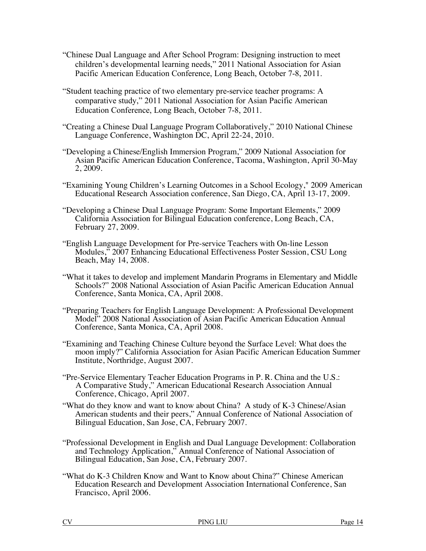- "Chinese Dual Language and After School Program: Designing instruction to meet children's developmental learning needs," 2011 National Association for Asian Pacific American Education Conference, Long Beach, October 7-8, 2011.
- "Student teaching practice of two elementary pre-service teacher programs: A comparative study," 2011 National Association for Asian Pacific American Education Conference, Long Beach, October 7-8, 2011.
- "Creating a Chinese Dual Language Program Collaboratively," 2010 National Chinese Language Conference, Washington DC, April 22-24, 2010.
- "Developing a Chinese/English Immersion Program," 2009 National Association for Asian Pacific American Education Conference, Tacoma, Washington, April 30-May 2, 2009.
- "Examining Young Children's Learning Outcomes in a School Ecology," 2009 American Educational Research Association conference, San Diego, CA, April 13-17, 2009.
- "Developing a Chinese Dual Language Program: Some Important Elements," 2009 California Association for Bilingual Education conference, Long Beach, CA, February 27, 2009.
- "English Language Development for Pre-service Teachers with On-line Lesson Modules," 2007 Enhancing Educational Effectiveness Poster Session, CSU Long Beach, May 14, 2008.
- "What it takes to develop and implement Mandarin Programs in Elementary and Middle Schools?" 2008 National Association of Asian Pacific American Education Annual Conference, Santa Monica, CA, April 2008.
- "Preparing Teachers for English Language Development: A Professional Development Model" 2008 National Association of Asian Pacific American Education Annual Conference, Santa Monica, CA, April 2008.
- "Examining and Teaching Chinese Culture beyond the Surface Level: What does the moon imply?" California Association for Asian Pacific American Education Summer Institute, Northridge, August 2007.
- "Pre-Service Elementary Teacher Education Programs in P. R. China and the U.S.: A Comparative Study," American Educational Research Association Annual Conference, Chicago, April 2007.
- "What do they know and want to know about China? A study of K-3 Chinese/Asian American students and their peers," Annual Conference of National Association of Bilingual Education, San Jose, CA, February 2007.
- "Professional Development in English and Dual Language Development: Collaboration and Technology Application," Annual Conference of National Association of Bilingual Education, San Jose, CA, February 2007.
- "What do K-3 Children Know and Want to Know about China?" Chinese American Education Research and Development Association International Conference, San Francisco, April 2006.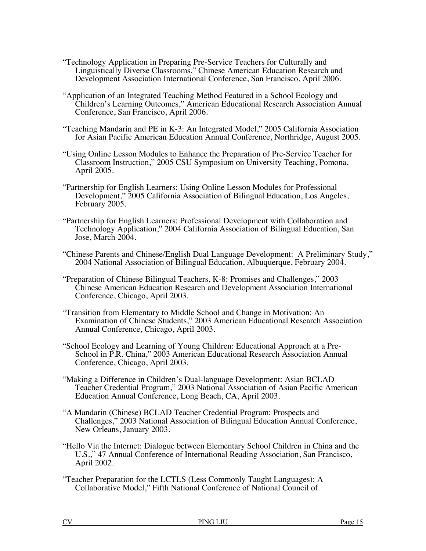- "Technology Application in Preparing Pre-Service Teachers for Culturally and Linguistically Diverse Classrooms," Chinese American Education Research and Development Association International Conference, San Francisco, April 2006.
- "Application of an Integrated Teaching Method Featured in a School Ecology and Children's Learning Outcomes," American Educational Research Association Annual Conference, San Francisco, April 2006.
- "Teaching Mandarin and PE in K-3: An Integrated Model," 2005 California Association for Asian Pacific American Education Annual Conference, Northridge, August 2005.
- "Using Online Lesson Modules to Enhance the Preparation of Pre-Service Teacher for Classroom Instruction," 2005 CSU Symposium on University Teaching, Pomona, April 2005.
- "Partnership for English Learners: Using Online Lesson Modules for Professional Development," 2005 California Association of Bilingual Education, Los Angeles, February 2005.
- "Partnership for English Learners: Professional Development with Collaboration and Technology Application," 2004 California Association of Bilingual Education, San Jose, March 2004.
- "Chinese Parents and Chinese/English Dual Language Development: A Preliminary Study," 2004 National Association of Bilingual Education, Albuquerque, February 2004.
- "Preparation of Chinese Bilingual Teachers, K-8: Promises and Challenges," 2003 Chinese American Education Research and Development Association International Conference, Chicago, April 2003.
- "Transition from Elementary to Middle School and Change in Motivation: An Examination of Chinese Students," 2003 American Educational Research Association Annual Conference, Chicago, April 2003.
- "School Ecology and Learning of Young Children: Educational Approach at a Pre-School in P.R. China," 2003 American Educational Research Association Annual Conference, Chicago, April 2003.
- "Making a Difference in Children's Dual-language Development: Asian BCLAD Teacher Credential Program," 2003 National Association of Asian Pacific American Education Annual Conference, Long Beach, CA, April 2003.
- "A Mandarin (Chinese) BCLAD Teacher Credential Program: Prospects and Challenges," 2003 National Association of Bilingual Education Annual Conference, New Orleans, January 2003.
- "Hello Via the Internet: Dialogue between Elementary School Children in China and the U.S.," 47 Annual Conference of International Reading Association, San Francisco, April 2002.
- "Teacher Preparation for the LCTLS (Less Commonly Taught Languages): A Collaborative Model," Fifth National Conference of National Council of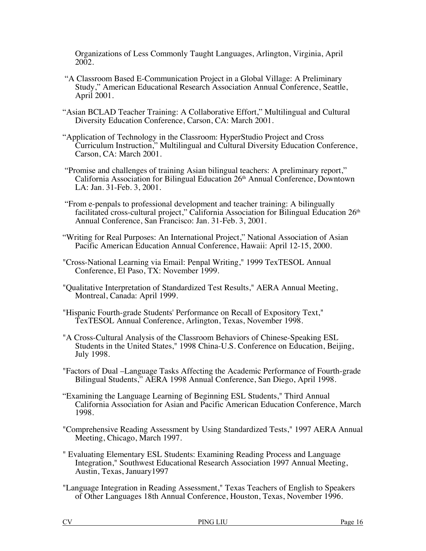Organizations of Less Commonly Taught Languages, Arlington, Virginia, April 2002.

- "A Classroom Based E-Communication Project in a Global Village: A Preliminary Study," American Educational Research Association Annual Conference, Seattle, April 2001.
- "Asian BCLAD Teacher Training: A Collaborative Effort," Multilingual and Cultural Diversity Education Conference, Carson, CA: March 2001.
- "Application of Technology in the Classroom: HyperStudio Project and Cross Curriculum Instruction," Multilingual and Cultural Diversity Education Conference, Carson, CA: March 2001.
- "Promise and challenges of training Asian bilingual teachers: A preliminary report," California Association for Bilingual Education 26th Annual Conference, Downtown LA: Jan. 31-Feb. 3, 2001.
- "From e-penpals to professional development and teacher training: A bilingually facilitated cross-cultural project," California Association for Bilingual Education 26<sup>th</sup> Annual Conference, San Francisco: Jan. 31-Feb. 3, 2001.
- "Writing for Real Purposes: An International Project," National Association of Asian Pacific American Education Annual Conference, Hawaii: April 12-15, 2000.
- "Cross-National Learning via Email: Penpal Writing," 1999 TexTESOL Annual Conference, El Paso, TX: November 1999.
- "Qualitative Interpretation of Standardized Test Results," AERA Annual Meeting, Montreal, Canada: April 1999.
- "Hispanic Fourth-grade Students' Performance on Recall of Expository Text," TexTESOL Annual Conference, Arlington, Texas, November 1998.
- "A Cross-Cultural Analysis of the Classroom Behaviors of Chinese-Speaking ESL Students in the United States," 1998 China-U.S. Conference on Education, Beijing, July 1998.
- "Factors of Dual –Language Tasks Affecting the Academic Performance of Fourth-grade Bilingual Students," AERA 1998 Annual Conference, San Diego, April 1998.
- "Examining the Language Learning of Beginning ESL Students," Third Annual California Association for Asian and Pacific American Education Conference, March 1998.
- "Comprehensive Reading Assessment by Using Standardized Tests," 1997 AERA Annual Meeting, Chicago, March 1997.
- " Evaluating Elementary ESL Students: Examining Reading Process and Language Integration," Southwest Educational Research Association 1997 Annual Meeting, Austin, Texas, January1997
- "Language Integration in Reading Assessment," Texas Teachers of English to Speakers of Other Languages 18th Annual Conference, Houston, Texas, November 1996.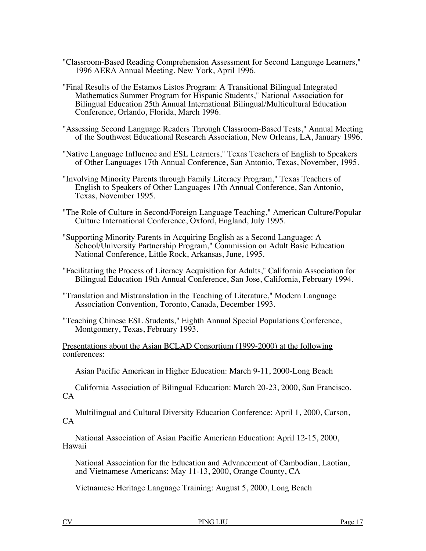- "Classroom-Based Reading Comprehension Assessment for Second Language Learners," 1996 AERA Annual Meeting, New York, April 1996.
- "Final Results of the Estamos Listos Program: A Transitional Bilingual Integrated Mathematics Summer Program for Hispanic Students," National Association for Bilingual Education 25th Annual International Bilingual/Multicultural Education Conference, Orlando, Florida, March 1996.
- "Assessing Second Language Readers Through Classroom-Based Tests," Annual Meeting of the Southwest Educational Research Association, New Orleans, LA, January 1996.
- "Native Language Influence and ESL Learners," Texas Teachers of English to Speakers of Other Languages 17th Annual Conference, San Antonio, Texas, November, 1995.
- "Involving Minority Parents through Family Literacy Program," Texas Teachers of English to Speakers of Other Languages 17th Annual Conference, San Antonio, Texas, November 1995.
- "The Role of Culture in Second/Foreign Language Teaching," American Culture/Popular Culture International Conference, Oxford, England, July 1995.
- "Supporting Minority Parents in Acquiring English as a Second Language: A School/University Partnership Program," Commission on Adult Basic Education National Conference, Little Rock, Arkansas, June, 1995.
- "Facilitating the Process of Literacy Acquisition for Adults," California Association for Bilingual Education 19th Annual Conference, San Jose, California, February 1994.
- "Translation and Mistranslation in the Teaching of Literature," Modern Language Association Convention, Toronto, Canada, December 1993.
- "Teaching Chinese ESL Students," Eighth Annual Special Populations Conference, Montgomery, Texas, February 1993.

Presentations about the Asian BCLAD Consortium (1999-2000) at the following conferences:

Asian Pacific American in Higher Education: March 9-11, 2000-Long Beach

California Association of Bilingual Education: March 20-23, 2000, San Francisco,  $CA$ 

Multilingual and Cultural Diversity Education Conference: April 1, 2000, Carson,  $CA$ 

National Association of Asian Pacific American Education: April 12-15, 2000, Hawaii

National Association for the Education and Advancement of Cambodian, Laotian, and Vietnamese Americans: May 11-13, 2000, Orange County, CA

Vietnamese Heritage Language Training: August 5, 2000, Long Beach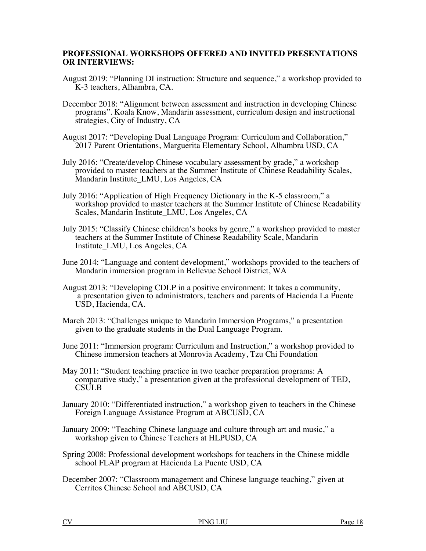## **PROFESSIONAL WORKSHOPS OFFERED AND INVITED PRESENTATIONS OR INTERVIEWS:**

- August 2019: "Planning DI instruction: Structure and sequence," a workshop provided to K-3 teachers, Alhambra, CA.
- December 2018: "Alignment between assessment and instruction in developing Chinese programs". Koala Know, Mandarin assessment, curriculum design and instructional strategies, City of Industry, CA
- August 2017: "Developing Dual Language Program: Curriculum and Collaboration," 2017 Parent Orientations, Marguerita Elementary School, Alhambra USD, CA
- July 2016: "Create/develop Chinese vocabulary assessment by grade," a workshop provided to master teachers at the Summer Institute of Chinese Readability Scales, Mandarin Institute\_LMU, Los Angeles, CA
- July 2016: "Application of High Frequency Dictionary in the K-5 classroom," a workshop provided to master teachers at the Summer Institute of Chinese Readability Scales, Mandarin Institute\_LMU, Los Angeles, CA
- July 2015: "Classify Chinese children's books by genre," a workshop provided to master teachers at the Summer Institute of Chinese Readability Scale, Mandarin Institute\_LMU, Los Angeles, CA
- June 2014: "Language and content development," workshops provided to the teachers of Mandarin immersion program in Bellevue School District, WA
- August 2013: "Developing CDLP in a positive environment: It takes a community, a presentation given to administrators, teachers and parents of Hacienda La Puente USD, Hacienda, CA.
- March 2013: "Challenges unique to Mandarin Immersion Programs," a presentation given to the graduate students in the Dual Language Program.
- June 2011: "Immersion program: Curriculum and Instruction," a workshop provided to Chinese immersion teachers at Monrovia Academy, Tzu Chi Foundation
- May 2011: "Student teaching practice in two teacher preparation programs: A comparative study," a presentation given at the professional development of TED, **CSULB**
- January 2010: "Differentiated instruction," a workshop given to teachers in the Chinese Foreign Language Assistance Program at ABCUSD, CA
- January 2009: "Teaching Chinese language and culture through art and music," a workshop given to Chinese Teachers at HLPUSD, CA
- Spring 2008: Professional development workshops for teachers in the Chinese middle school FLAP program at Hacienda La Puente USD, CA
- December 2007: "Classroom management and Chinese language teaching," given at Cerritos Chinese School and ABCUSD, CA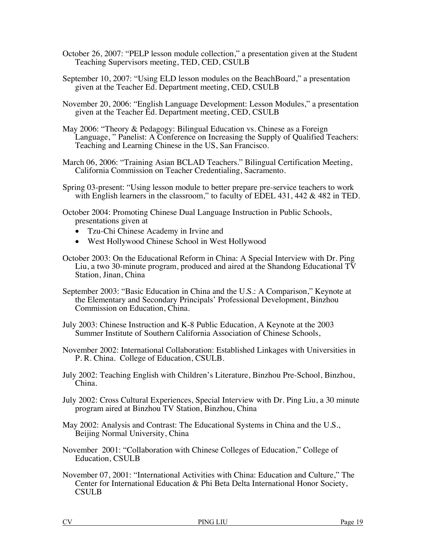- October 26, 2007: "PELP lesson module collection," a presentation given at the Student Teaching Supervisors meeting, TED, CED, CSULB
- September 10, 2007: "Using ELD lesson modules on the BeachBoard," a presentation given at the Teacher Ed. Department meeting, CED, CSULB
- November 20, 2006: "English Language Development: Lesson Modules," a presentation given at the Teacher Ed. Department meeting, CED, CSULB
- May 2006: "Theory & Pedagogy: Bilingual Education vs. Chinese as a Foreign Language, " Panelist: A Conference on Increasing the Supply of Qualified Teachers: Teaching and Learning Chinese in the US, San Francisco.
- March 06, 2006: "Training Asian BCLAD Teachers." Bilingual Certification Meeting, California Commission on Teacher Credentialing, Sacramento.
- Spring 03-present: "Using lesson module to better prepare pre-service teachers to work with English learners in the classroom," to faculty of EDEL 431, 442 & 482 in TED.

October 2004: Promoting Chinese Dual Language Instruction in Public Schools, presentations given at

- Tzu-Chi Chinese Academy in Irvine and
- West Hollywood Chinese School in West Hollywood
- October 2003: On the Educational Reform in China: A Special Interview with Dr. Ping Liu, a two 30-minute program, produced and aired at the Shandong Educational TV Station, Jinan, China
- September 2003: "Basic Education in China and the U.S.: A Comparison," Keynote at the Elementary and Secondary Principals' Professional Development, Binzhou Commission on Education, China.
- July 2003: Chinese Instruction and K-8 Public Education, A Keynote at the 2003 Summer Institute of Southern California Association of Chinese Schools,
- November 2002: International Collaboration: Established Linkages with Universities in P. R. China. College of Education, CSULB.
- July 2002: Teaching English with Children's Literature, Binzhou Pre-School, Binzhou, China.
- July 2002: Cross Cultural Experiences, Special Interview with Dr. Ping Liu, a 30 minute program aired at Binzhou TV Station, Binzhou, China
- May 2002: Analysis and Contrast: The Educational Systems in China and the U.S., Beijing Normal University, China
- November 2001: "Collaboration with Chinese Colleges of Education," College of Education, CSULB
- November 07, 2001: "International Activities with China: Education and Culture," The Center for International Education & Phi Beta Delta International Honor Society, CSULB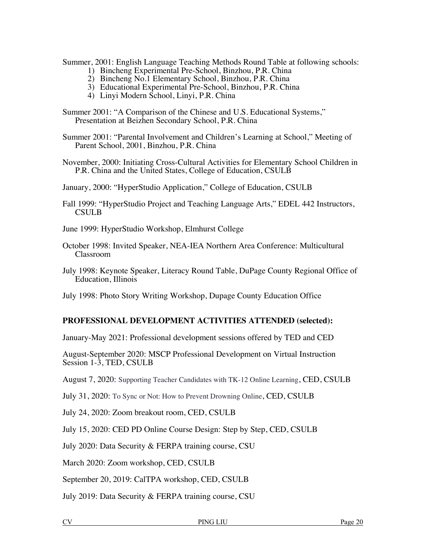Summer, 2001: English Language Teaching Methods Round Table at following schools:

- 1) Bincheng Experimental Pre-School, Binzhou, P.R. China
- 2) Bincheng No.1 Elementary School, Binzhou, P.R. China
- 3) Educational Experimental Pre-School, Binzhou, P.R. China
- 4) Linyi Modern School, Linyi, P.R. China
- Summer 2001: "A Comparison of the Chinese and U.S. Educational Systems," Presentation at Beizhen Secondary School, P.R. China

Summer 2001: "Parental Involvement and Children's Learning at School," Meeting of Parent School, 2001, Binzhou, P.R. China

November, 2000: Initiating Cross-Cultural Activities for Elementary School Children in P.R. China and the United States, College of Education, CSULB

January, 2000: "HyperStudio Application," College of Education, CSULB

Fall 1999: "HyperStudio Project and Teaching Language Arts," EDEL 442 Instructors, CSULB

June 1999: HyperStudio Workshop, Elmhurst College

- October 1998: Invited Speaker, NEA-IEA Northern Area Conference: Multicultural Classroom
- July 1998: Keynote Speaker, Literacy Round Table, DuPage County Regional Office of Education, Illinois

July 1998: Photo Story Writing Workshop, Dupage County Education Office

### **PROFESSIONAL DEVELOPMENT ACTIVITIES ATTENDED (selected):**

January-May 2021: Professional development sessions offered by TED and CED

August-September 2020: MSCP Professional Development on Virtual Instruction Session 1-3, TED, CSULB

August 7, 2020: Supporting Teacher Candidates with TK-12 Online Learning, CED, CSULB

July 31, 2020: To Sync or Not: How to Prevent Drowning Online, CED, CSULB

July 24, 2020: Zoom breakout room, CED, CSULB

July 15, 2020: CED PD Online Course Design: Step by Step, CED, CSULB

July 2020: Data Security & FERPA training course, CSU

March 2020: Zoom workshop, CED, CSULB

September 20, 2019: CalTPA workshop, CED, CSULB

July 2019: Data Security & FERPA training course, CSU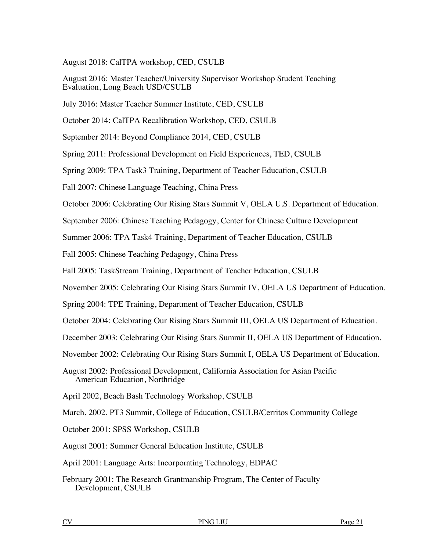August 2018: CalTPA workshop, CED, CSULB

August 2016: Master Teacher/University Supervisor Workshop Student Teaching Evaluation, Long Beach USD/CSULB

July 2016: Master Teacher Summer Institute, CED, CSULB

October 2014: CalTPA Recalibration Workshop, CED, CSULB

September 2014: Beyond Compliance 2014, CED, CSULB

Spring 2011: Professional Development on Field Experiences, TED, CSULB

Spring 2009: TPA Task3 Training, Department of Teacher Education, CSULB

Fall 2007: Chinese Language Teaching, China Press

October 2006: Celebrating Our Rising Stars Summit V, OELA U.S. Department of Education.

September 2006: Chinese Teaching Pedagogy, Center for Chinese Culture Development

Summer 2006: TPA Task4 Training, Department of Teacher Education, CSULB

Fall 2005: Chinese Teaching Pedagogy, China Press

Fall 2005: TaskStream Training, Department of Teacher Education, CSULB

November 2005: Celebrating Our Rising Stars Summit IV, OELA US Department of Education.

Spring 2004: TPE Training, Department of Teacher Education, CSULB

October 2004: Celebrating Our Rising Stars Summit III, OELA US Department of Education.

December 2003: Celebrating Our Rising Stars Summit II, OELA US Department of Education.

November 2002: Celebrating Our Rising Stars Summit I, OELA US Department of Education.

August 2002: Professional Development, California Association for Asian Pacific American Education, Northridge

April 2002, Beach Bash Technology Workshop, CSULB

March, 2002, PT3 Summit, College of Education, CSULB/Cerritos Community College

October 2001: SPSS Workshop, CSULB

August 2001: Summer General Education Institute, CSULB

April 2001: Language Arts: Incorporating Technology, EDPAC

February 2001: The Research Grantmanship Program, The Center of Faculty Development, CSULB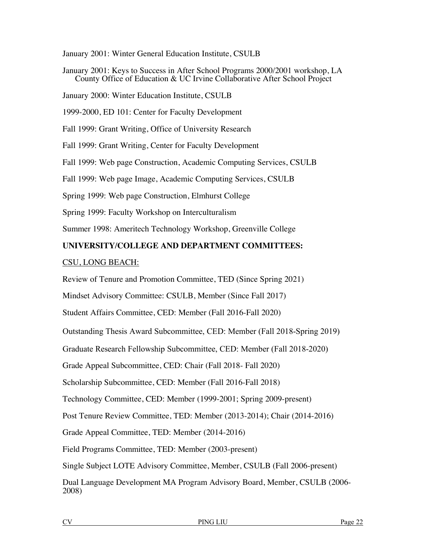January 2001: Winter General Education Institute, CSULB

January 2001: Keys to Success in After School Programs 2000/2001 workshop, LA County Office of Education & UC Irvine Collaborative After School Project

January 2000: Winter Education Institute, CSULB

1999-2000, ED 101: Center for Faculty Development

Fall 1999: Grant Writing, Office of University Research

Fall 1999: Grant Writing, Center for Faculty Development

Fall 1999: Web page Construction, Academic Computing Services, CSULB

Fall 1999: Web page Image, Academic Computing Services, CSULB

Spring 1999: Web page Construction, Elmhurst College

Spring 1999: Faculty Workshop on Interculturalism

Summer 1998: Ameritech Technology Workshop, Greenville College

## **UNIVERSITY/COLLEGE AND DEPARTMENT COMMITTEES:**

### CSU, LONG BEACH:

Review of Tenure and Promotion Committee, TED (Since Spring 2021)

Mindset Advisory Committee: CSULB, Member (Since Fall 2017)

Student Affairs Committee, CED: Member (Fall 2016-Fall 2020)

Outstanding Thesis Award Subcommittee, CED: Member (Fall 2018-Spring 2019)

Graduate Research Fellowship Subcommittee, CED: Member (Fall 2018-2020)

Grade Appeal Subcommittee, CED: Chair (Fall 2018- Fall 2020)

Scholarship Subcommittee, CED: Member (Fall 2016-Fall 2018)

Technology Committee, CED: Member (1999-2001; Spring 2009-present)

Post Tenure Review Committee, TED: Member (2013-2014); Chair (2014-2016)

Grade Appeal Committee, TED: Member (2014-2016)

Field Programs Committee, TED: Member (2003-present)

Single Subject LOTE Advisory Committee, Member, CSULB (Fall 2006-present)

Dual Language Development MA Program Advisory Board, Member, CSULB (2006- 2008)